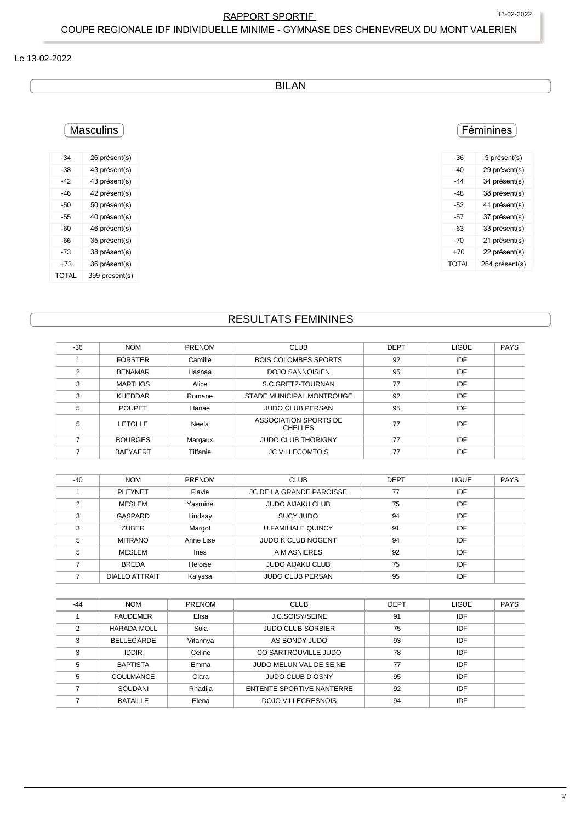# RAPPORT SPORTIF 13-02-2022 COUPE REGIONALE IDF INDIVIDUELLE MINIME - GYMNASE DES CHENEVREUX DU MONT VALERIEN

## Le 13-02-2022

BILAN

# **Masculins**

| $-34$ | 26 présent(s)  |
|-------|----------------|
| -38   | 43 présent(s)  |
| -42   | 43 présent(s)  |
| -46   | 42 présent(s)  |
| -50   | 50 présent(s)  |
| -55   | 40 présent(s)  |
| -60   | 46 présent(s)  |
| -66   | 35 présent(s)  |
| -73   | 38 présent(s)  |
| +73   | 36 présent(s)  |
| TOTAL | 399 présent(s) |

# RESULTATS FEMININES

| $-36$          | <b>NOM</b>      | <b>PRENOM</b> | <b>CLUB</b>                             | <b>DEPT</b> | <b>LIGUE</b> | <b>PAYS</b> |
|----------------|-----------------|---------------|-----------------------------------------|-------------|--------------|-------------|
|                | <b>FORSTER</b>  | Camille       | <b>BOIS COLOMBES SPORTS</b>             | 92          | IDF          |             |
| $\mathfrak{p}$ | <b>BENAMAR</b>  | Hasnaa        | <b>DOJO SANNOISIEN</b>                  | 95          | IDF          |             |
| 3              | <b>MARTHOS</b>  | Alice         | S.C.GRETZ-TOURNAN                       | 77          | IDF          |             |
| 3              | <b>KHEDDAR</b>  | Romane        | STADE MUNICIPAL MONTROUGE               | 92          | IDF          |             |
| 5              | <b>POUPET</b>   | Hanae         | <b>JUDO CLUB PERSAN</b>                 | 95          | IDF          |             |
| 5              | <b>LETOLLE</b>  | Neela         | ASSOCIATION SPORTS DE<br><b>CHELLES</b> | 77          | IDF          |             |
|                | <b>BOURGES</b>  | Margaux       | <b>JUDO CLUB THORIGNY</b>               | 77          | IDF          |             |
|                | <b>BAEYAERT</b> | Tiffanie      | <b>JC VILLECOMTOIS</b>                  | 77          | IDF          |             |
|                |                 |               |                                         |             |              |             |

| $-40$ | <b>NOM</b>            | <b>PRENOM</b> | <b>CLUB</b>                     | <b>DEPT</b> | <b>LIGUE</b> | <b>PAYS</b> |
|-------|-----------------------|---------------|---------------------------------|-------------|--------------|-------------|
|       | <b>PLEYNET</b>        | Flavie        | <b>JC DE LA GRANDE PAROISSE</b> | 77          | IDF          |             |
| ົ     | MESLEM                | Yasmine       | <b>JUDO AIJAKU CLUB</b>         | 75          | IDF          |             |
| 3     | <b>GASPARD</b>        | Lindsay       | SUCY JUDO                       | 94          | IDF          |             |
| 3     | <b>ZUBER</b>          | Margot        | <b>U.FAMILIALE QUINCY</b>       | 91          | <b>IDF</b>   |             |
| 5     | <b>MITRANO</b>        | Anne Lise     | <b>JUDO K CLUB NOGENT</b>       | 94          | IDF          |             |
| 5     | MESLEM                | Ines          | A.M ASNIERES                    | 92          | IDF          |             |
|       | <b>BREDA</b>          | Heloise       | <b>JUDO AIJAKU CLUB</b>         | 75          | <b>IDF</b>   |             |
|       | <b>DIALLO ATTRAIT</b> | Kalyssa       | <b>JUDO CLUB PERSAN</b>         | 95          | IDF          |             |

| $-44$ | <b>NOM</b>         | <b>PRENOM</b> | <b>CLUB</b>               | <b>DEPT</b> | <b>LIGUE</b> | <b>PAYS</b> |
|-------|--------------------|---------------|---------------------------|-------------|--------------|-------------|
|       | <b>FAUDEMER</b>    | Elisa         | J.C.SOISY/SEINE           | 91          | IDF          |             |
| 2     | <b>HARADA MOLL</b> | Sola          | <b>JUDO CLUB SORBIER</b>  | 75          | IDF          |             |
| 3     | <b>BELLEGARDE</b>  | Vitannya      | AS BONDY JUDO             | 93          | <b>IDF</b>   |             |
| 3     | <b>IDDIR</b>       | Celine        | CO SARTROUVILLE JUDO      | 78          | IDF          |             |
| 5     | <b>BAPTISTA</b>    | Emma          | JUDO MELUN VAL DE SEINE   | 77          | IDF          |             |
| 5     | <b>COULMANCE</b>   | Clara         | JUDO CLUB D OSNY          | 95          | IDF          |             |
|       | <b>SOUDANI</b>     | Rhadija       | ENTENTE SPORTIVE NANTERRE | 92          | IDF          |             |
|       | <b>BATAILLE</b>    | Elena         | <b>DOJO VILLECRESNOIS</b> | 94          | IDF          |             |

#### -36 9 présent(s) -40 29 présent(s) -44 34 présent(s) -48 38 présent(s) -52 41 présent(s) -57 37 présent(s) -63 33 présent(s) -70 21 présent(s) +70 22 présent(s) TOTAL 264 présent(s)

Féminines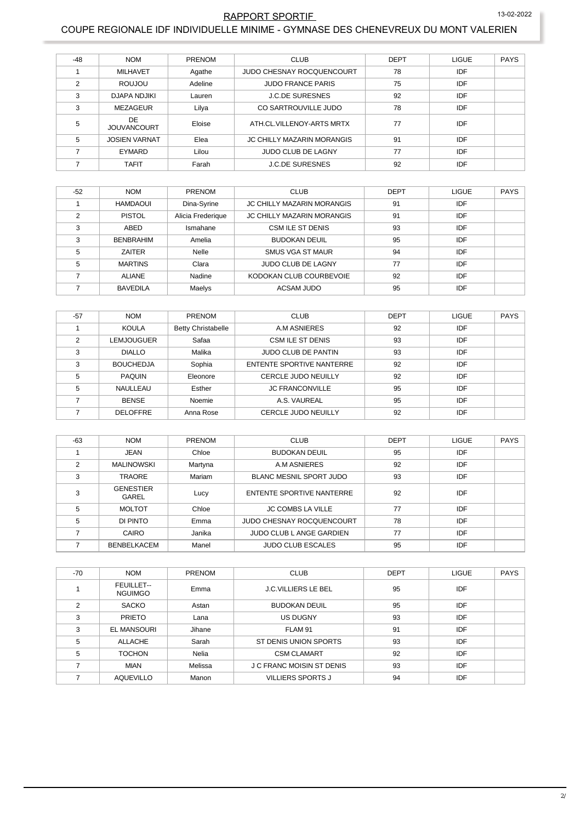## RAPPORT SPORTIF 13-02-2022 COUPE REGIONALE IDF INDIVIDUELLE MINIME - GYMNASE DES CHENEVREUX DU MONT VALERIEN

| $-48$         | <b>NOM</b>                | <b>PRENOM</b> | <b>CLUB</b>                       | <b>DEPT</b> | LIGUE      | <b>PAYS</b> |
|---------------|---------------------------|---------------|-----------------------------------|-------------|------------|-------------|
|               | <b>MILHAVET</b>           | Agathe        | JUDO CHESNAY ROCQUENCOURT         | 78          | <b>IDF</b> |             |
| $\mathcal{P}$ | ROUJOU                    | Adeline       | <b>JUDO FRANCE PARIS</b>          | 75          | <b>IDF</b> |             |
| 3             | <b>DJAPA NDJIKI</b>       | Lauren        | <b>J.C.DE SURESNES</b>            | 92          | IDF        |             |
| 3             | MEZAGEUR                  | Lilya         | CO SARTROUVILLE JUDO              | 78          | <b>IDF</b> |             |
| 5             | DE.<br><b>JOUVANCOURT</b> | Eloise        | ATH.CL.VILLENOY-ARTS MRTX         | 77          | IDF        |             |
| 5             | <b>JOSIEN VARNAT</b>      | Elea          | <b>JC CHILLY MAZARIN MORANGIS</b> | 91          | IDF        |             |
|               | EYMARD                    | Lilou         | <b>JUDO CLUB DE LAGNY</b>         | 77          | <b>IDF</b> |             |
|               | <b>TAFIT</b>              | Farah         | <b>J.C.DE SURESNES</b>            | 92          | IDF        |             |

| $-52$ | <b>NOM</b>       | <b>PRENOM</b>     | <b>CLUB</b>                       | <b>DEPT</b> | <b>LIGUE</b> | <b>PAYS</b> |
|-------|------------------|-------------------|-----------------------------------|-------------|--------------|-------------|
|       | HAMDAOUI         | Dina-Syrine       | <b>JC CHILLY MAZARIN MORANGIS</b> | 91          | IDF          |             |
| ◠     | <b>PISTOL</b>    | Alicia Frederique | <b>JC CHILLY MAZARIN MORANGIS</b> | 91          | IDF          |             |
| 3     | ABED             | Ismahane          | <b>CSM ILE ST DENIS</b>           | 93          | IDF          |             |
| 3     | <b>BENBRAHIM</b> | Amelia            | <b>BUDOKAN DEUIL</b>              | 95          | IDF          |             |
| 5     | ZAITER           | Nelle             | <b>SMUS VGA ST MAUR</b>           | 94          | IDF          |             |
| 5     | <b>MARTINS</b>   | Clara             | <b>JUDO CLUB DE LAGNY</b>         | 77          | IDF          |             |
|       | <b>ALIANE</b>    | Nadine            | KODOKAN CLUB COURBEVOIE           | 92          | IDF          |             |
|       | <b>BAVEDILA</b>  | Maelys            | ACSAM JUDO                        | 95          | IDF          |             |

| $-57$         | <b>NOM</b>       | <b>PRENOM</b>             | <b>CLUB</b>                | <b>DEPT</b> | <b>LIGUE</b> | <b>PAYS</b> |
|---------------|------------------|---------------------------|----------------------------|-------------|--------------|-------------|
|               | <b>KOULA</b>     | <b>Betty Christabelle</b> | A.M ASNIERES               | 92          | IDF          |             |
| $\mathcal{P}$ | LEMJOUGUER       | Safaa                     | CSM ILE ST DENIS           | 93          | IDF          |             |
| 3             | <b>DIALLO</b>    | Malika                    | <b>JUDO CLUB DE PANTIN</b> | 93          | <b>IDF</b>   |             |
| 3             | <b>BOUCHEDJA</b> | Sophia                    | ENTENTE SPORTIVE NANTERRE  | 92          | IDF          |             |
| 5             | <b>PAQUIN</b>    | Eleonore                  | CERCLE JUDO NEUILLY        | 92          | IDF          |             |
| 5             | NAULLEAU         | Esther                    | <b>JC FRANCONVILLE</b>     | 95          | <b>IDF</b>   |             |
|               | <b>BENSE</b>     | Noemie                    | A.S. VAUREAL               | 95          | IDF          |             |
|               | <b>DELOFFRE</b>  | Anna Rose                 | <b>CERCLE JUDO NEUILLY</b> | 92          | IDF          |             |

| $-63$         | <b>NOM</b>                       | <b>PRENOM</b> | <b>CLUB</b>                      | <b>DEPT</b> | <b>LIGUE</b> | <b>PAYS</b> |
|---------------|----------------------------------|---------------|----------------------------------|-------------|--------------|-------------|
|               | <b>JEAN</b>                      | Chloe         | <b>BUDOKAN DEUIL</b>             | 95          | IDF          |             |
| $\mathcal{P}$ | <b>MALINOWSKI</b>                | Martyna       | A.M ASNIERES                     | 92          | <b>IDF</b>   |             |
| 3             | <b>TRAORE</b>                    | Mariam        | <b>BLANC MESNIL SPORT JUDO</b>   | 93          | IDF          |             |
| 3             | <b>GENESTIER</b><br><b>GAREL</b> | Lucy          | <b>ENTENTE SPORTIVE NANTERRE</b> | 92          | <b>IDF</b>   |             |
| 5             | <b>MOLTOT</b>                    | Chloe         | <b>JC COMBS LA VILLE</b>         | 77          | <b>IDF</b>   |             |
| 5             | DI PINTO                         | Emma          | <b>JUDO CHESNAY ROCOUENCOURT</b> | 78          | IDF          |             |
|               | CAIRO                            | Janika        | JUDO CLUB L ANGE GARDIEN         | 77          | <b>IDF</b>   |             |
|               | <b>BENBELKACEM</b>               | Manel         | <b>JUDO CLUB ESCALES</b>         | 95          | IDF          |             |

| $-70$          | <b>NOM</b>                   | PRENOM  | <b>CLUB</b>                      | <b>DEPT</b> | <b>LIGUE</b> | <b>PAYS</b> |
|----------------|------------------------------|---------|----------------------------------|-------------|--------------|-------------|
|                | FEUILLET--<br><b>NGUIMGO</b> | Emma    | <b>J.C.VILLIERS LE BEL</b>       | 95          | IDF          |             |
| $\mathfrak{p}$ | <b>SACKO</b>                 | Astan   | <b>BUDOKAN DEUIL</b>             | 95          | IDF          |             |
| 3              | <b>PRIETO</b>                | Lana    | <b>US DUGNY</b>                  | 93          | IDF          |             |
| 3              | <b>EL MANSOURI</b>           | Jihane  | FLAM 91                          | 91          | IDF          |             |
| 5              | <b>ALLACHE</b>               | Sarah   | ST DENIS UNION SPORTS            | 93          | IDF          |             |
| 5              | <b>TOCHON</b>                | Nelia   | <b>CSM CLAMART</b>               | 92          | <b>IDF</b>   |             |
|                | <b>MIAN</b>                  | Melissa | <b>J C FRANC MOISIN ST DENIS</b> | 93          | IDF          |             |
|                | <b>AQUEVILLO</b>             | Manon   | <b>VILLIERS SPORTS J</b>         | 94          | IDF          |             |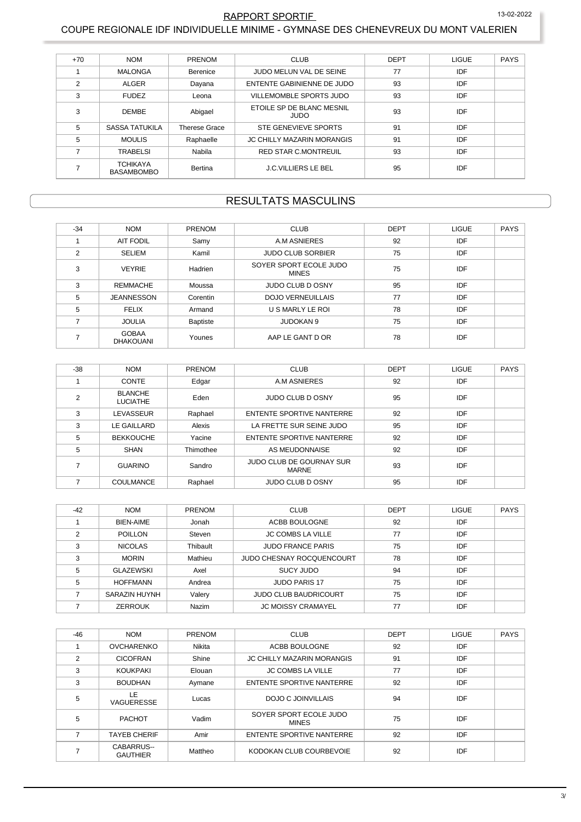#### 13-02-2022 RAPPORT SPORTIF COUPE REGIONALE IDF INDIVIDUELLE MINIME - GYMNASE DES CHENEVREUX DU MONT VALERIEN

| $+70$          | <b>NOM</b>                           | PRENOM               | <b>CLUB</b>                       | <b>DEPT</b> | <b>LIGUE</b> | <b>PAYS</b> |
|----------------|--------------------------------------|----------------------|-----------------------------------|-------------|--------------|-------------|
|                | <b>MALONGA</b>                       | Berenice             | JUDO MELUN VAL DE SEINE           | 77          | <b>IDF</b>   |             |
| $\overline{2}$ | <b>ALGER</b>                         | Dayana               | ENTENTE GABINIENNE DE JUDO        | 93          | <b>IDF</b>   |             |
| 3              | <b>FUDEZ</b>                         | Leona                | VILLEMOMBLE SPORTS JUDO           | 93          | <b>IDF</b>   |             |
| 3              | <b>DEMBE</b>                         | Abigael              | ETOILE SP DE BLANC MESNIL<br>JUDO | 93          | <b>IDF</b>   |             |
| 5              | <b>SASSA TATUKILA</b>                | <b>Therese Grace</b> | STE GENEVIEVE SPORTS              | 91          | <b>IDF</b>   |             |
| 5              | <b>MOULIS</b>                        | Raphaelle            | <b>JC CHILLY MAZARIN MORANGIS</b> | 91          | <b>IDF</b>   |             |
|                | TRABELSI                             | Nabila               | <b>RED STAR C.MONTREUIL</b>       | 93          | <b>IDF</b>   |             |
|                | <b>TCHIKAYA</b><br><b>BASAMBOMBO</b> | Bertina              | <b>J.C.VILLIERS LE BEL</b>        | 95          | IDF          |             |

# **RESULTATS MASCULINS**

| $-34$         | <b>NOM</b>                        | <b>PRENOM</b> | <b>CLUB</b>                            | <b>DEPT</b> | <b>LIGUE</b> | <b>PAYS</b> |
|---------------|-----------------------------------|---------------|----------------------------------------|-------------|--------------|-------------|
|               | <b>AIT FODIL</b>                  | Samy          | A.M ASNIERES                           | 92          | IDF          |             |
| $\mathcal{P}$ | <b>SELIEM</b>                     | Kamil         | <b>JUDO CLUB SORBIER</b>               | 75          | IDF          |             |
| 3             | <b>VEYRIE</b>                     | Hadrien       | SOYER SPORT ECOLE JUDO<br><b>MINES</b> | 75          | IDF          |             |
| 3             | <b>REMMACHE</b>                   | Moussa        | <b>JUDO CLUB D OSNY</b>                | 95          | IDF          |             |
| 5             | <b>JEANNESSON</b>                 | Corentin      | <b>DOJO VERNEUILLAIS</b>               | 77          | IDF          |             |
| 5             | <b>FELIX</b>                      | Armand        | U S MARLY LE ROI                       | 78          | IDF          |             |
|               | <b>JOULIA</b>                     | Baptiste      | <b>JUDOKAN 9</b>                       | 75          | IDF          |             |
|               | <b>GOBAA</b><br><b>DHAKOLIANI</b> | Younes        | AAP LE GANT D OR                       | 78          | IDF          |             |

| $-38$ | <b>NOM</b>                        | <b>PRENOM</b> | <b>CLUB</b>                              | <b>DEPT</b> | <b>LIGUE</b> | <b>PAYS</b> |
|-------|-----------------------------------|---------------|------------------------------------------|-------------|--------------|-------------|
|       | <b>CONTE</b>                      | Edgar         | A.M ASNIERES                             | 92          | IDF          |             |
| 2     | <b>BLANCHE</b><br><b>LUCIATHE</b> | Eden          | <b>JUDO CLUB D OSNY</b>                  | 95          | IDF          |             |
| 3     | LEVASSEUR                         | Raphael       | ENTENTE SPORTIVE NANTERRE                | 92          | IDF          |             |
| 3     | LE GAILLARD                       | Alexis        | LA FRETTE SUR SEINE JUDO                 | 95          | IDF          |             |
| 5     | <b>BEKKOUCHE</b>                  | Yacine        | <b>ENTENTE SPORTIVE NANTERRE</b>         | 92          | IDF          |             |
| 5     | <b>SHAN</b>                       | Thimothee     | AS MEUDONNAISE                           | 92          | IDF          |             |
|       | <b>GUARINO</b>                    | Sandro        | JUDO CLUB DE GOURNAY SUR<br><b>MARNE</b> | 93          | IDF          |             |
|       | <b>COULMANCE</b>                  | Raphael       | <b>JUDO CLUB D OSNY</b>                  | 95          | IDF          |             |

| $-42$ | <b>NOM</b>       | <b>PRENOM</b> | <b>CLUB</b>                  | <b>DEPT</b> | <b>LIGUE</b> | <b>PAYS</b> |
|-------|------------------|---------------|------------------------------|-------------|--------------|-------------|
|       | <b>BIEN-AIME</b> | Jonah         | ACBB BOULOGNE                | 92          | IDF          |             |
| ◠     | <b>POILLON</b>   | Steven        | <b>JC COMBS LA VILLE</b>     | 77          | IDF          |             |
| 3     | <b>NICOLAS</b>   | Thibault      | <b>JUDO FRANCE PARIS</b>     | 75          | IDF          |             |
| 3     | <b>MORIN</b>     | Mathieu       | JUDO CHESNAY ROCQUENCOURT    | 78          | IDF          |             |
| 5     | <b>GLAZEWSKI</b> | Axel          | SUCY JUDO                    | 94          | IDF          |             |
| 5     | <b>HOFFMANN</b>  | Andrea        | <b>JUDO PARIS 17</b>         | 75          | IDF          |             |
|       | SARAZIN HUYNH    | Valery        | <b>JUDO CLUB BAUDRICOURT</b> | 75          | IDF          |             |
|       | <b>ZERROUK</b>   | Nazim         | <b>JC MOISSY CRAMAYEL</b>    | 77          | IDF          |             |

| $-46$          | <b>NOM</b>                    | PRENOM  | <b>CLUB</b>                            | <b>DEPT</b> | LIGUE      | <b>PAYS</b> |
|----------------|-------------------------------|---------|----------------------------------------|-------------|------------|-------------|
|                | <b>OVCHARENKO</b>             | Nikita  | ACBB BOULOGNE                          | 92          | <b>IDF</b> |             |
| $\overline{2}$ | <b>CICOFRAN</b>               | Shine   | <b>JC CHILLY MAZARIN MORANGIS</b>      | 91          | IDF        |             |
| 3              | KOUKPAKI                      | Elouan  | <b>JC COMBS LA VILLE</b>               | 77          | IDF        |             |
| 3              | <b>BOUDHAN</b>                | Aymane  | <b>ENTENTE SPORTIVE NANTERRE</b>       | 92          | IDF        |             |
| 5              | LE<br>VAGUERESSE              | Lucas   | DOJO C JOINVILLAIS                     | 94          | <b>IDF</b> |             |
| 5              | <b>PACHOT</b>                 | Vadim   | SOYER SPORT ECOLE JUDO<br><b>MINES</b> | 75          | IDF        |             |
|                | <b>TAYEB CHERIF</b>           | Amir    | <b>ENTENTE SPORTIVE NANTERRE</b>       | 92          | IDF        |             |
|                | CABARRUS--<br><b>GAUTHIER</b> | Mattheo | KODOKAN CLUB COURBEVOIE                | 92          | IDF        |             |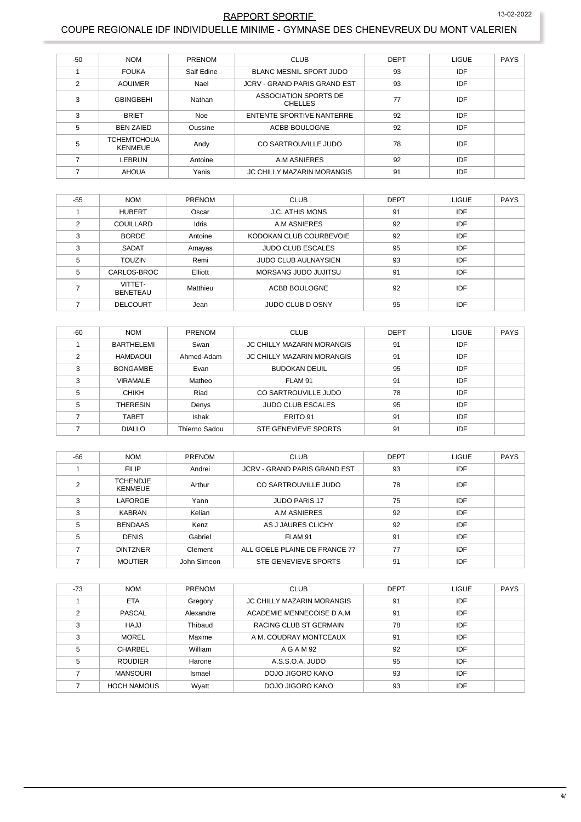#### RAPPORT SPORTIF

13-02-2022

#### COUPE REGIONALE IDF INDIVIDUELLE MINIME - GYMNASE DES CHENEVREUX DU MONT VALERIEN

| $-50$          | <b>NOM</b>                           | <b>PRENOM</b> | <b>CLUB</b>                             | <b>DEPT</b> | <b>LIGUE</b> | <b>PAYS</b> |
|----------------|--------------------------------------|---------------|-----------------------------------------|-------------|--------------|-------------|
|                | <b>FOUKA</b>                         | Saif Edine    | <b>BLANC MESNIL SPORT JUDO</b>          | 93          | IDF          |             |
| $\overline{2}$ | <b>AOUIMER</b>                       | Nael          | <b>JCRV - GRAND PARIS GRAND EST</b>     | 93          | IDF          |             |
| 3              | <b>GBINGBEHI</b>                     | Nathan        | ASSOCIATION SPORTS DE<br><b>CHELLES</b> | 77          | IDF          |             |
| 3              | <b>BRIET</b>                         | <b>Noe</b>    | ENTENTE SPORTIVE NANTERRE               | 92          | IDF          |             |
| 5              | <b>BEN ZAIED</b>                     | Oussine       | ACBB BOULOGNE                           | 92          | IDF          |             |
| 5              | <b>TCHEMTCHOUA</b><br><b>KENMEUE</b> | Andy          | CO SARTROUVILLE JUDO                    | 78          | IDF          |             |
|                | LEBRUN                               | Antoine       | A.M ASNIERES                            | 92          | IDF          |             |
|                | <b>AHOUA</b>                         | Yanis         | <b>JC CHILLY MAZARIN MORANGIS</b>       | 91          | IDF          |             |

| $-55$          | <b>NOM</b>                 | <b>PRENOM</b> | <b>CLUB</b>                 | <b>DEPT</b> | <b>LIGUE</b> | <b>PAYS</b> |
|----------------|----------------------------|---------------|-----------------------------|-------------|--------------|-------------|
|                | <b>HUBERT</b>              | Oscar         | <b>J.C. ATHIS MONS</b>      | 91          | IDF          |             |
| $\mathfrak{p}$ | COUILLARD                  | <b>Idris</b>  | A.M ASNIERES                | 92          | IDF          |             |
| 3              | <b>BORDE</b>               | Antoine       | KODOKAN CLUB COURBEVOIE     | 92          | IDF          |             |
| 3              | <b>SADAT</b>               | Amayas        | <b>JUDO CLUB ESCALES</b>    | 95          | IDF          |             |
| 5              | <b>TOUZIN</b>              | Remi          | <b>JUDO CLUB AULNAYSIEN</b> | 93          | IDF          |             |
| 5              | CARLOS-BROC                | Elliott       | MORSANG JUDO JUJITSU        | 91          | IDF          |             |
|                | VITTET-<br><b>BENETEAU</b> | Matthieu      | ACBB BOULOGNE               | 92          | IDF          |             |
|                | <b>DELCOURT</b>            | Jean          | JUDO CLUB D OSNY            | 95          | IDF          |             |

| $-60$ | <b>NOM</b>      | <b>PRENOM</b> | <b>CLUB</b>                       | <b>DEPT</b> | <b>LIGUE</b> | <b>PAYS</b> |
|-------|-----------------|---------------|-----------------------------------|-------------|--------------|-------------|
|       | BARTHELEMI      | Swan          | <b>JC CHILLY MAZARIN MORANGIS</b> | 91          | IDF          |             |
|       | <b>HAMDAOUI</b> | Ahmed-Adam    | <b>JC CHILLY MAZARIN MORANGIS</b> | 91          | IDF          |             |
|       | <b>BONGAMBE</b> | Evan          | <b>BUDOKAN DEUIL</b>              | 95          | <b>IDF</b>   |             |
| 3     | <b>VIRAMALE</b> | Matheo        | FLAM 91                           | 91          | <b>IDF</b>   |             |
| 5     | <b>CHIKH</b>    | Riad          | CO SARTROUVILLE JUDO              | 78          | IDF          |             |
| 5     | <b>THERESIN</b> | Denys         | <b>JUDO CLUB ESCALES</b>          | 95          | <b>IDF</b>   |             |
|       | TABET           | Ishak         | ERITO 91                          | 91          | IDF          |             |
|       | <b>DIALLO</b>   | Thierno Sadou | STE GENEVIEVE SPORTS              | 91          | IDF          |             |

| $-66$ | <b>NOM</b>                        | <b>PRENOM</b> | <b>CLUB</b>                         | <b>DEPT</b> | <b>LIGUE</b> | <b>PAYS</b> |
|-------|-----------------------------------|---------------|-------------------------------------|-------------|--------------|-------------|
|       | <b>FILIP</b>                      | Andrei        | <b>JCRV - GRAND PARIS GRAND EST</b> | 93          | IDF          |             |
| っ     | <b>TCHENDJE</b><br><b>KENMEUE</b> | Arthur        | CO SARTROUVILLE JUDO                | 78          | IDF          |             |
| 3     | <b>LAFORGE</b>                    | Yann          | <b>JUDO PARIS 17</b>                | 75          | IDF          |             |
| 3     | <b>KABRAN</b>                     | Kelian        | A.M ASNIERES                        | 92          | IDF          |             |
| 5     | <b>BENDAAS</b>                    | Kenz          | AS J JAURES CLICHY                  | 92          | IDF          |             |
| 5     | <b>DENIS</b>                      | Gabriel       | FLAM 91                             | 91          | IDF          |             |
|       | <b>DINTZNER</b>                   | Clement       | ALL GOELE PLAINE DE FRANCE 77       | 77          | IDF          |             |
|       | <b>MOUTIER</b>                    | John Simeon   | STE GENEVIEVE SPORTS                | 91          | IDF          |             |

| -73 | <b>NOM</b>         | <b>PRENOM</b> | <b>CLUB</b>                       | <b>DEPT</b> | <b>LIGUE</b> | <b>PAYS</b> |
|-----|--------------------|---------------|-----------------------------------|-------------|--------------|-------------|
|     | <b>ETA</b>         | Gregory       | <b>JC CHILLY MAZARIN MORANGIS</b> | 91          | IDF          |             |
| 2   | <b>PASCAL</b>      | Alexandre     | ACADEMIE MENNECOISE D A.M.        | 91          | IDF          |             |
| 3   | <b>HAJJ</b>        | Thibaud       | RACING CLUB ST GERMAIN            | 78          | IDF          |             |
| 3   | MOREL              | Maxime        | A M. COUDRAY MONTCEAUX            | 91          | IDF          |             |
| 5   | <b>CHARBEL</b>     | William       | A G A M 92                        | 92          | IDF          |             |
| 5   | <b>ROUDIER</b>     | Harone        | A.S.S.O.A. JUDO                   | 95          | IDF          |             |
|     | MANSOURI           | Ismael        | DOJO JIGORO KANO                  | 93          | IDF          |             |
|     | <b>HOCH NAMOUS</b> | Wyatt         | DOJO JIGORO KANO                  | 93          | IDF          |             |